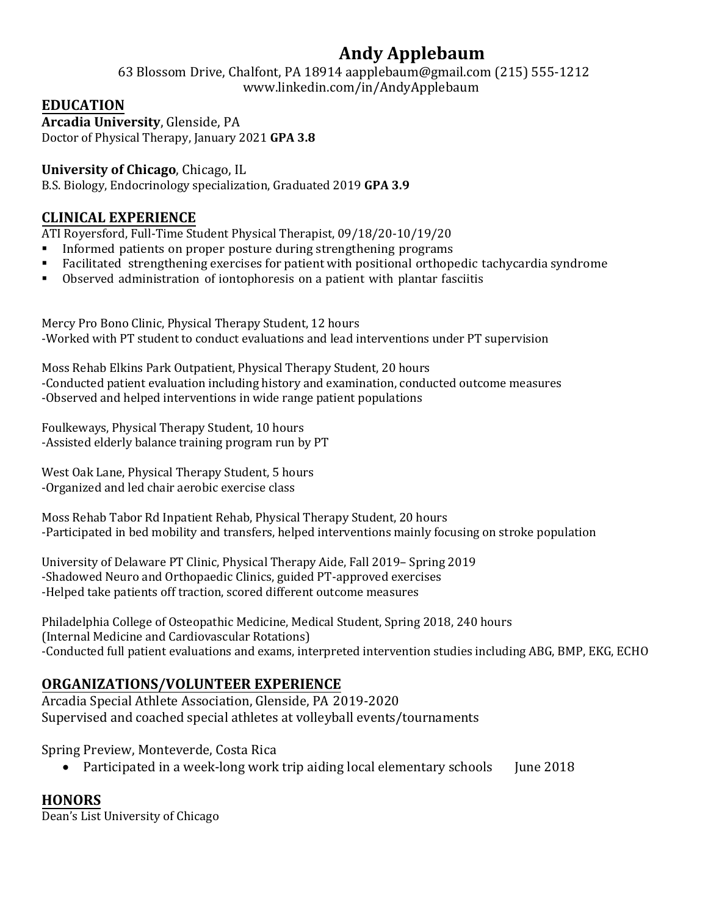# **Andy Applebaum**

63 Blossom Drive, Chalfont, PA 18914 aapplebaum@gmail.com (215) 555-1212 www.linkedin.com/in/AndyApplebaum

## **EDUCATION**

**Arcadia University**, Glenside, PA Doctor of Physical Therapy, January 2021 **GPA 3.8** 

## **University of Chicago**, Chicago, IL

B.S. Biology, Endocrinology specialization, Graduated 2019 **GPA 3.9** 

# **CLINICAL EXPERIENCE**

ATI Royersford, Full-Time Student Physical Therapist, 09/18/20-10/19/20<br>Informed patients on proper posture during strengthening programs

- Informed patients on proper posture during strengthening programs
- Facilitated strengthening exercises for patient with positional orthopedic tachycardia syndrome
- Observed administration of iontophoresis on a patient with plantar fasciitis

Mercy Pro Bono Clinic, Physical Therapy Student, 12 hours -Worked with PT student to conduct evaluations and lead interventions under PT supervision

Moss Rehab Elkins Park Outpatient, Physical Therapy Student, 20 hours -Conducted patient evaluation including history and examination, conducted outcome measures -Observed and helped interventions in wide range patient populations

Foulkeways, Physical Therapy Student, 10 hours -Assisted elderly balance training program run by PT

West Oak Lane, Physical Therapy Student, 5 hours -Organized and led chair aerobic exercise class

Moss Rehab Tabor Rd Inpatient Rehab, Physical Therapy Student, 20 hours -Participated in bed mobility and transfers, helped interventions mainly focusing on stroke population

University of Delaware PT Clinic, Physical Therapy Aide, Fall 2019– Spring 2019 -Shadowed Neuro and Orthopaedic Clinics, guided PT-approved exercises -Helped take patients off traction, scored different outcome measures

Philadelphia College of Osteopathic Medicine, Medical Student, Spring 2018, 240 hours (Internal Medicine and Cardiovascular Rotations) -Conducted full patient evaluations and exams, interpreted intervention studies including ABG, BMP, EKG, ECHO

# **ORGANIZATIONS/VOLUNTEER EXPERIENCE**

Arcadia Special Athlete Association, Glenside, PA 2019-2020 Supervised and coached special athletes at volleyball events/tournaments

Spring Preview, Monteverde, Costa Rica

• Participated in a week-long work trip aiding local elementary schools June 2018

# **HONORS**

Dean's List University of Chicago